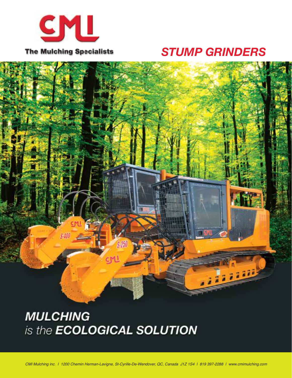

## *STUMP GRINDERS*



## **MULCHING** is the **ECOLOGICAL SOLUTION**